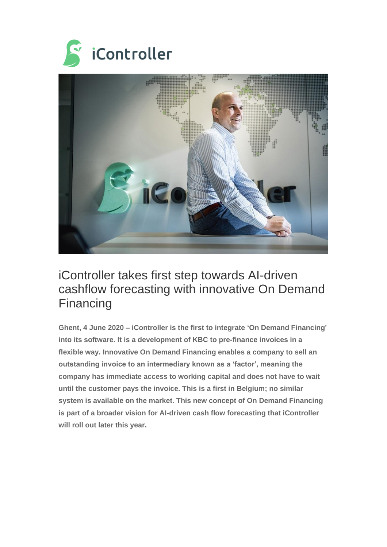



## iController takes first step towards AI-driven cashflow forecasting with innovative On Demand Financing

**Ghent, 4 June 2020 – iController is the first to integrate 'On Demand Financing' into its software. It is a development of KBC to pre-finance invoices in a flexible way. Innovative On Demand Financing enables a company to sell an outstanding invoice to an intermediary known as a 'factor', meaning the company has immediate access to working capital and does not have to wait until the customer pays the invoice. This is a first in Belgium; no similar system is available on the market. This new concept of On Demand Financing is part of a broader vision for AI-driven cash flow forecasting that iController will roll out later this year.**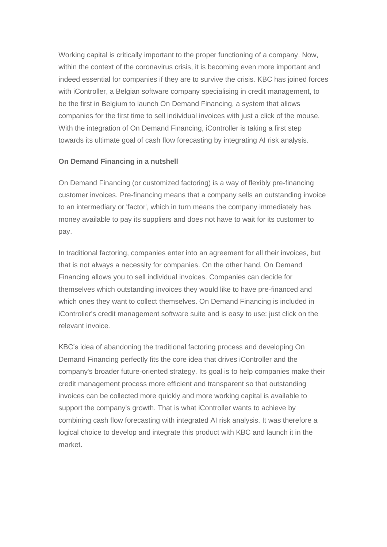Working capital is critically important to the proper functioning of a company. Now, within the context of the coronavirus crisis, it is becoming even more important and indeed essential for companies if they are to survive the crisis. KBC has joined forces with iController, a Belgian software company specialising in credit management, to be the first in Belgium to launch On Demand Financing, a system that allows companies for the first time to sell individual invoices with just a click of the mouse. With the integration of On Demand Financing, iController is taking a first step towards its ultimate goal of cash flow forecasting by integrating AI risk analysis.

## **On Demand Financing in a nutshell**

On Demand Financing (or customized factoring) is a way of flexibly pre-financing customer invoices. Pre-financing means that a company sells an outstanding invoice to an intermediary or 'factor', which in turn means the company immediately has money available to pay its suppliers and does not have to wait for its customer to pay.

In traditional factoring, companies enter into an agreement for all their invoices, but that is not always a necessity for companies. On the other hand, On Demand Financing allows you to sell individual invoices. Companies can decide for themselves which outstanding invoices they would like to have pre-financed and which ones they want to collect themselves. On Demand Financing is included in iController's credit management software suite and is easy to use: just click on the relevant invoice.

KBC's idea of abandoning the traditional factoring process and developing On Demand Financing perfectly fits the core idea that drives iController and the company's broader future-oriented strategy. Its goal is to help companies make their credit management process more efficient and transparent so that outstanding invoices can be collected more quickly and more working capital is available to support the company's growth. That is what iController wants to achieve by combining cash flow forecasting with integrated AI risk analysis. It was therefore a logical choice to develop and integrate this product with KBC and launch it in the market.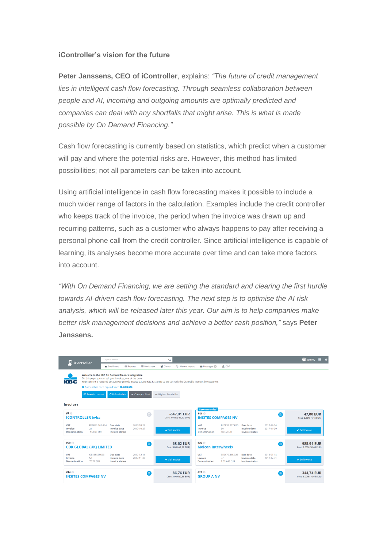## **iController's vision for the future**

**Peter Janssens, CEO of iController**, explains: *"The future of credit management lies in intelligent cash flow forecasting. Through seamless collaboration between people and AI, incoming and outgoing amounts are optimally predicted and companies can deal with any shortfalls that might arise. This is what is made possible by On Demand Financing."*

Cash flow forecasting is currently based on statistics, which predict when a customer will pay and where the potential risks are. However, this method has limited possibilities; not all parameters can be taken into account.

Using artificial intelligence in cash flow forecasting makes it possible to include a much wider range of factors in the calculation. Examples include the credit controller who keeps track of the invoice, the period when the invoice was drawn up and recurring patterns, such as a customer who always happens to pay after receiving a personal phone call from the credit controller. Since artificial intelligence is capable of learning, its analyses become more accurate over time and can take more factors into account.

*"With On Demand Financing, we are setting the standard and clearing the first hurdle towards AI-driven cash flow forecasting. The next step is to optimise the AI risk analysis, which will be released later this year. Our aim is to help companies make better risk management decisions and achieve a better cash position,"* says **Peter Janssens.**